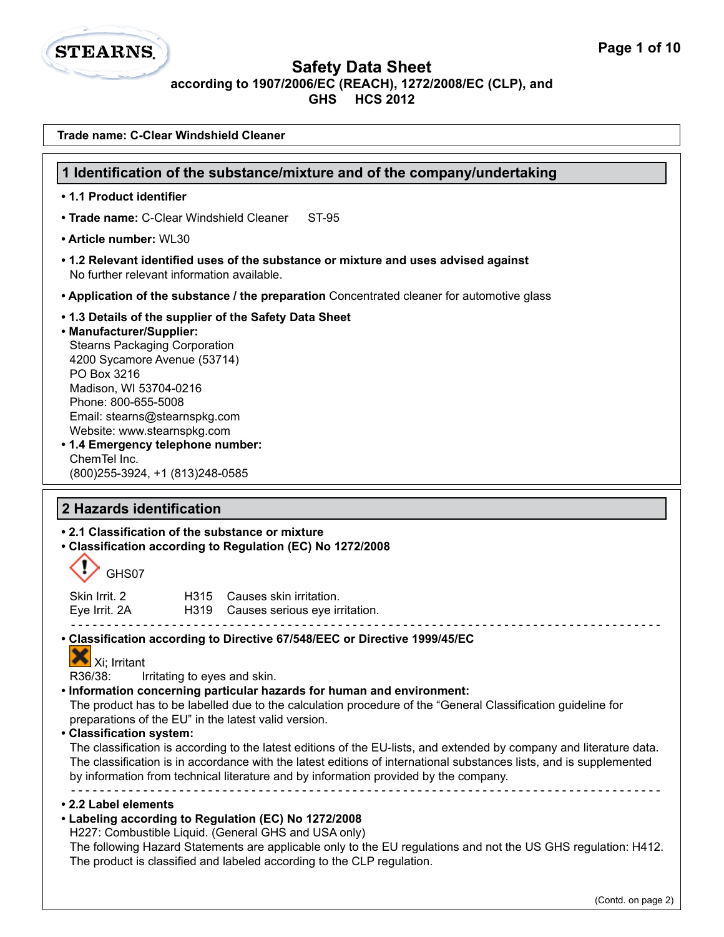

| Trade name: C-Clear Windshield Cleaner                                                                                                                                                                                                                                                                                                                                                                                                                                                                                                                                                                                                                                                                                                                                                                                                                                                                                                                                                                                                                                                              |
|-----------------------------------------------------------------------------------------------------------------------------------------------------------------------------------------------------------------------------------------------------------------------------------------------------------------------------------------------------------------------------------------------------------------------------------------------------------------------------------------------------------------------------------------------------------------------------------------------------------------------------------------------------------------------------------------------------------------------------------------------------------------------------------------------------------------------------------------------------------------------------------------------------------------------------------------------------------------------------------------------------------------------------------------------------------------------------------------------------|
| 1 Identification of the substance/mixture and of the company/undertaking                                                                                                                                                                                                                                                                                                                                                                                                                                                                                                                                                                                                                                                                                                                                                                                                                                                                                                                                                                                                                            |
| • 1.1 Product identifier                                                                                                                                                                                                                                                                                                                                                                                                                                                                                                                                                                                                                                                                                                                                                                                                                                                                                                                                                                                                                                                                            |
| • Trade name: C-Clear Windshield Cleaner<br>ST-95                                                                                                                                                                                                                                                                                                                                                                                                                                                                                                                                                                                                                                                                                                                                                                                                                                                                                                                                                                                                                                                   |
| • Article number: WL30                                                                                                                                                                                                                                                                                                                                                                                                                                                                                                                                                                                                                                                                                                                                                                                                                                                                                                                                                                                                                                                                              |
| • 1.2 Relevant identified uses of the substance or mixture and uses advised against<br>No further relevant information available.                                                                                                                                                                                                                                                                                                                                                                                                                                                                                                                                                                                                                                                                                                                                                                                                                                                                                                                                                                   |
| • Application of the substance / the preparation Concentrated cleaner for automotive glass                                                                                                                                                                                                                                                                                                                                                                                                                                                                                                                                                                                                                                                                                                                                                                                                                                                                                                                                                                                                          |
| .1.3 Details of the supplier of the Safety Data Sheet<br>• Manufacturer/Supplier:<br><b>Stearns Packaging Corporation</b><br>4200 Sycamore Avenue (53714)<br>PO Box 3216<br>Madison, WI 53704-0216<br>Phone: 800-655-5008<br>Email: stearns@stearnspkg.com<br>Website: www.stearnspkg.com<br>• 1.4 Emergency telephone number:<br>ChemTel Inc.<br>(800) 255-3924, +1 (813) 248-0585                                                                                                                                                                                                                                                                                                                                                                                                                                                                                                                                                                                                                                                                                                                 |
| 2 Hazards identification                                                                                                                                                                                                                                                                                                                                                                                                                                                                                                                                                                                                                                                                                                                                                                                                                                                                                                                                                                                                                                                                            |
| • 2.1 Classification of the substance or mixture<br>• Classification according to Regulation (EC) No 1272/2008<br>GHS07                                                                                                                                                                                                                                                                                                                                                                                                                                                                                                                                                                                                                                                                                                                                                                                                                                                                                                                                                                             |
| Skin Irrit. 2<br>H315 Causes skin irritation.<br>Eye Irrit. 2A<br>H319 Causes serious eye irritation.                                                                                                                                                                                                                                                                                                                                                                                                                                                                                                                                                                                                                                                                                                                                                                                                                                                                                                                                                                                               |
| • Classification according to Directive 67/548/EEC or Directive 1999/45/EC<br>v<br>Xi; Irritant<br>R36/38:<br>Irritating to eyes and skin.<br>. Information concerning particular hazards for human and environment:<br>The product has to be labelled due to the calculation procedure of the "General Classification guideline for<br>preparations of the EU" in the latest valid version.<br>• Classification system:<br>The classification is according to the latest editions of the EU-lists, and extended by company and literature data.<br>The classification is in accordance with the latest editions of international substances lists, and is supplemented<br>by information from technical literature and by information provided by the company.<br>• 2.2 Label elements<br>• Labeling according to Regulation (EC) No 1272/2008<br>H227: Combustible Liquid. (General GHS and USA only)<br>The following Hazard Statements are applicable only to the EU regulations and not the US GHS regulation: H412.<br>The product is classified and labeled according to the CLP regulation. |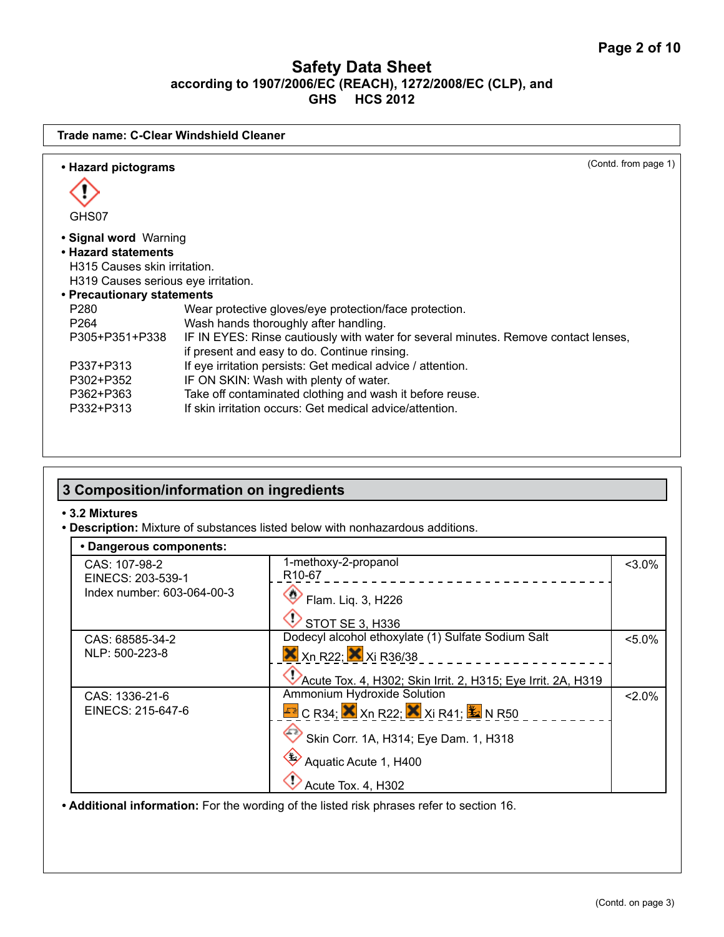| • Hazard pictograms<br>GHS07<br>• Signal word Warning<br>• Hazard statements | (Contd. from page 1)                                                                |
|------------------------------------------------------------------------------|-------------------------------------------------------------------------------------|
|                                                                              |                                                                                     |
|                                                                              |                                                                                     |
|                                                                              |                                                                                     |
|                                                                              |                                                                                     |
|                                                                              |                                                                                     |
| H315 Causes skin irritation.                                                 |                                                                                     |
| H319 Causes serious eye irritation.                                          |                                                                                     |
| • Precautionary statements                                                   |                                                                                     |
| P280                                                                         | Wear protective gloves/eye protection/face protection.                              |
| P264                                                                         | Wash hands thoroughly after handling.                                               |
| P305+P351+P338                                                               | IF IN EYES: Rinse cautiously with water for several minutes. Remove contact lenses, |
|                                                                              | if present and easy to do. Continue rinsing.                                        |
| P337+P313                                                                    | If eye irritation persists: Get medical advice / attention.                         |
| P302+P352                                                                    | IF ON SKIN: Wash with plenty of water.                                              |
| P362+P363                                                                    | Take off contaminated clothing and wash it before reuse.                            |
| P332+P313                                                                    | If skin irritation occurs: Get medical advice/attention.                            |

# **3 Composition/information on ingredients**

#### **• 3.2 Mixtures**

**• Description:** Mixture of substances listed below with nonhazardous additions.

| • Dangerous components:    |                                                                          |           |
|----------------------------|--------------------------------------------------------------------------|-----------|
| CAS: 107-98-2              | 1-methoxy-2-propanol                                                     | $< 3.0\%$ |
| EINECS: 203-539-1          | R <sub>10</sub> -67                                                      |           |
| Index number: 603-064-00-3 | $\bullet$ Flam. Liq. 3, H226                                             |           |
|                            | STOT SE 3, H336                                                          |           |
| CAS: 68585-34-2            | Dodecyl alcohol ethoxylate (1) Sulfate Sodium Salt                       | $< 5.0\%$ |
| NLP: 500-223-8             | $X$ Xn R22; $X$ Xi R36/38                                                |           |
|                            | Acute Tox. 4, H302; Skin Irrit. 2, H315; Eye Irrit. 2A, H319             |           |
| CAS: 1336-21-6             | Ammonium Hydroxide Solution                                              | $2.0\%$   |
| EINECS: 215-647-6          | $\text{F}$ C R34; $\text{X}$ Xn R22; $\text{X}$ Xi R41; $\text{X}$ N R50 |           |
|                            | Skin Corr. 1A, H314; Eye Dam. 1, H318                                    |           |
|                            | Aquatic Acute 1, H400                                                    |           |
|                            | Acute Tox. 4, H302                                                       |           |

**• Additional information:** For the wording of the listed risk phrases refer to section 16.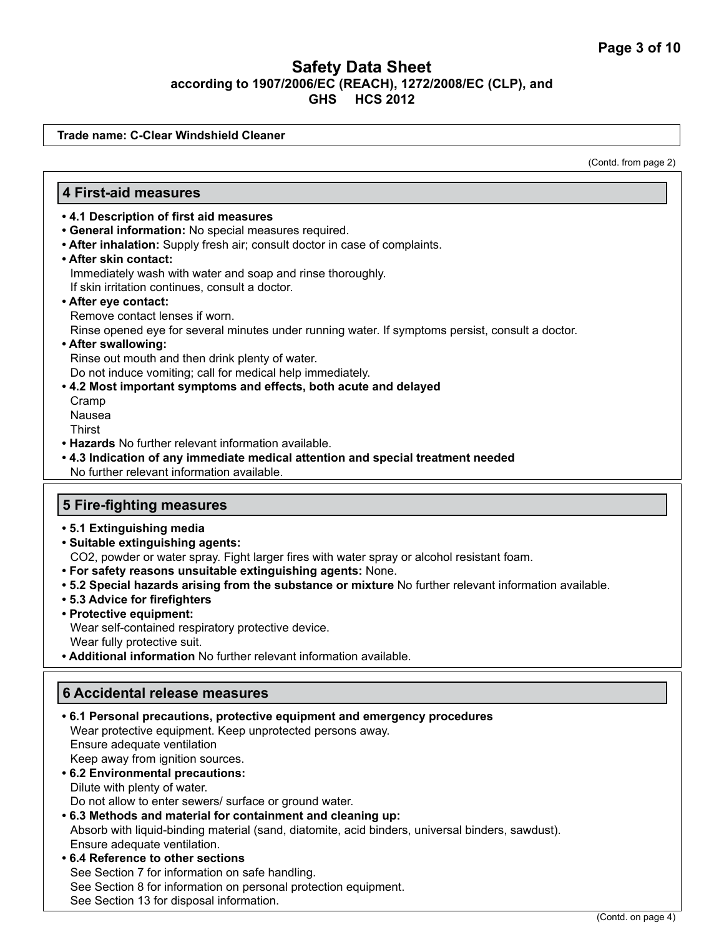**Trade name: C-Clear Windshield Cleaner**

(Contd. from page 2)

#### **4 First-aid measures**

- **4.1 Description of first aid measures**
- **General information:** No special measures required.
- **After inhalation:** Supply fresh air; consult doctor in case of complaints.
- **After skin contact:** Immediately wash with water and soap and rinse thoroughly. If skin irritation continues, consult a doctor.
- **After eye contact:**

Remove contact lenses if worn.

Rinse opened eye for several minutes under running water. If symptoms persist, consult a doctor.

**• After swallowing:** 

Rinse out mouth and then drink plenty of water. Do not induce vomiting; call for medical help immediately.

**• 4.2 Most important symptoms and effects, both acute and delayed**  Cramp Nausea

**Thirst** 

- **Hazards** No further relevant information available.
- **4.3 Indication of any immediate medical attention and special treatment needed** No further relevant information available.

#### **5 Fire-fighting measures**

- **5.1 Extinguishing media**
- **Suitable extinguishing agents:** CO2, powder or water spray. Fight larger fires with water spray or alcohol resistant foam.
- **For safety reasons unsuitable extinguishing agents:** None.
- **5.2 Special hazards arising from the substance or mixture** No further relevant information available.
- **5.3 Advice for firefighters**
- **Protective equipment:**

Wear self-contained respiratory protective device. Wear fully protective suit.

**• Additional information** No further relevant information available.

### **6 Accidental release measures**

| • 6.1 Personal precautions, protective equipment and emergency procedures                        |
|--------------------------------------------------------------------------------------------------|
| Wear protective equipment. Keep unprotected persons away.                                        |
| Ensure adequate ventilation                                                                      |
| Keep away from ignition sources.                                                                 |
| • 6.2 Environmental precautions:                                                                 |
| Dilute with plenty of water.                                                                     |
| Do not allow to enter sewers/ surface or ground water.                                           |
| .6.3 Methods and material for containment and cleaning up:                                       |
| Absorb with liquid-binding material (sand, diatomite, acid binders, universal binders, sawdust). |
| Ensure adequate ventilation.                                                                     |
| • 6.4 Reference to other sections                                                                |
| See Section 7 for information on safe handling.                                                  |
| See Section 8 for information on personal protection equipment.                                  |
| See Section 13 for disposal information.                                                         |

(Contd. on page 4)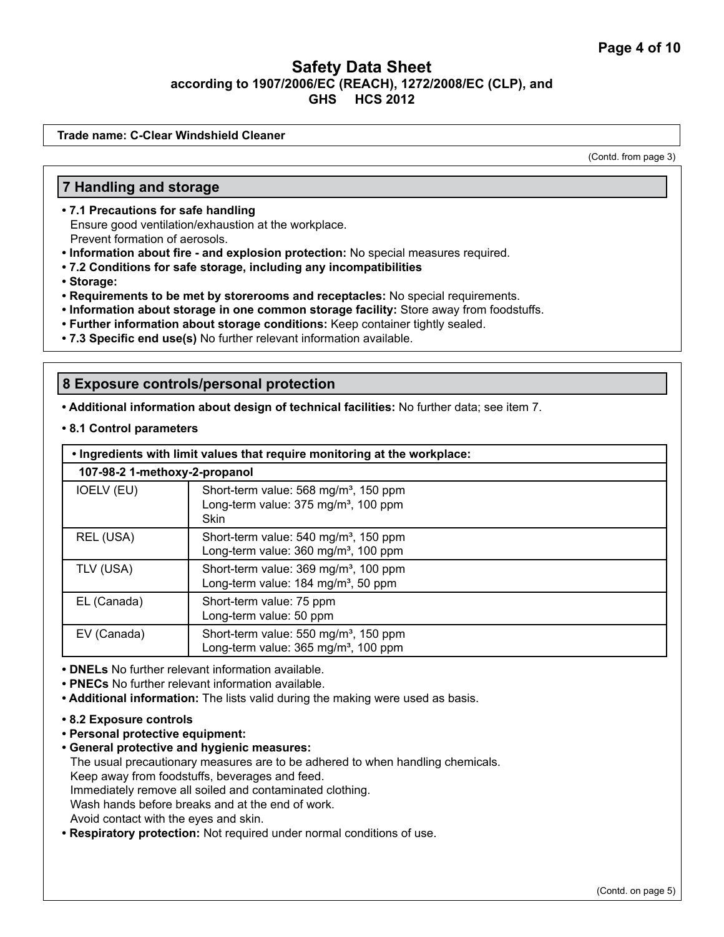**Trade name: C-Clear Windshield Cleaner**

(Contd. from page 3)

#### **7 Handling and storage**

- **7.1 Precautions for safe handling** Ensure good ventilation/exhaustion at the workplace. Prevent formation of aerosols.
- **Information about fire and explosion protection:** No special measures required.
- **7.2 Conditions for safe storage, including any incompatibilities**
- **Storage:**
- **Requirements to be met by storerooms and receptacles:** No special requirements.
- **Information about storage in one common storage facility:** Store away from foodstuffs.
- **Further information about storage conditions:** Keep container tightly sealed.
- **7.3 Specific end use(s)** No further relevant information available.

#### **8 Exposure controls/personal protection**

**• Additional information about design of technical facilities:** No further data; see item 7.

**• 8.1 Control parameters**

| . Ingredients with limit values that require monitoring at the workplace: |                                                                                                                      |  |
|---------------------------------------------------------------------------|----------------------------------------------------------------------------------------------------------------------|--|
| 107-98-2 1-methoxy-2-propanol                                             |                                                                                                                      |  |
| IOELV (EU)                                                                | Short-term value: 568 mg/m <sup>3</sup> , 150 ppm<br>Long-term value: 375 mg/m <sup>3</sup> , 100 ppm<br><b>Skin</b> |  |
| REL (USA)                                                                 | Short-term value: 540 mg/m <sup>3</sup> , 150 ppm<br>Long-term value: 360 mg/m <sup>3</sup> , 100 ppm                |  |
| TLV (USA)                                                                 | Short-term value: 369 mg/m <sup>3</sup> , 100 ppm<br>Long-term value: 184 mg/m <sup>3</sup> , 50 ppm                 |  |
| EL (Canada)                                                               | Short-term value: 75 ppm<br>Long-term value: 50 ppm                                                                  |  |
| EV (Canada)                                                               | Short-term value: 550 mg/m <sup>3</sup> , 150 ppm<br>Long-term value: 365 mg/m <sup>3</sup> , 100 ppm                |  |

**• DNELs** No further relevant information available.

- **PNECs** No further relevant information available.
- **Additional information:** The lists valid during the making were used as basis.
- **8.2 Exposure controls**
- **Personal protective equipment:**
- **General protective and hygienic measures:**  The usual precautionary measures are to be adhered to when handling chemicals. Keep away from foodstuffs, beverages and feed. Immediately remove all soiled and contaminated clothing. Wash hands before breaks and at the end of work. Avoid contact with the eyes and skin.
- **Respiratory protection:** Not required under normal conditions of use.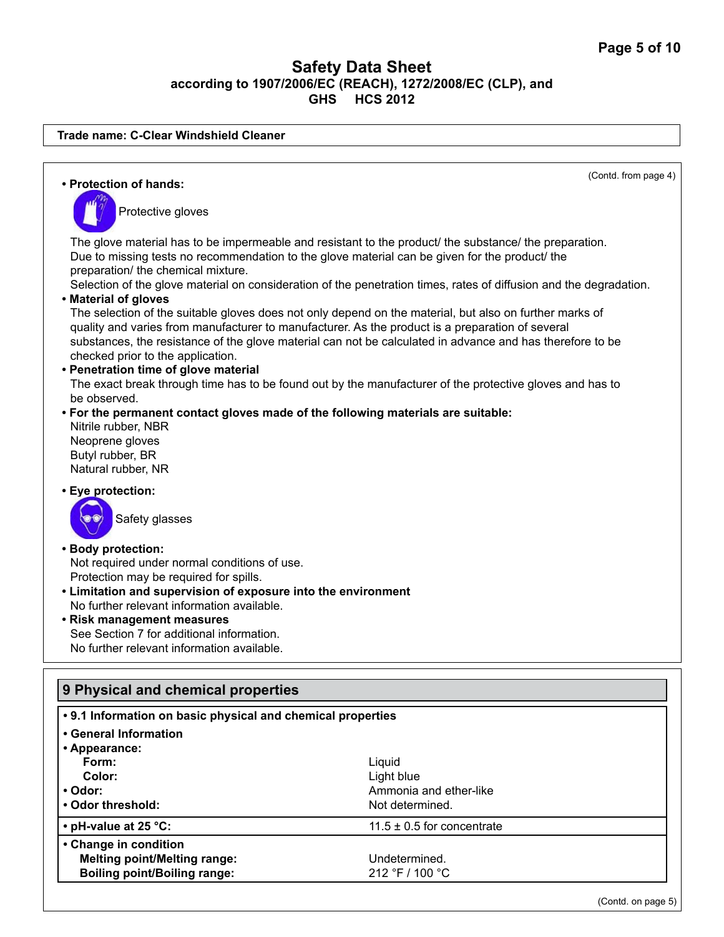**Trade name: C-Clear Windshield Cleaner**

| • Protection of hands:                                                                                                                                                                                                                                                                                                                               | (Contd. from page 4)                                                                                                                                                                                                       |  |
|------------------------------------------------------------------------------------------------------------------------------------------------------------------------------------------------------------------------------------------------------------------------------------------------------------------------------------------------------|----------------------------------------------------------------------------------------------------------------------------------------------------------------------------------------------------------------------------|--|
| Protective gloves                                                                                                                                                                                                                                                                                                                                    |                                                                                                                                                                                                                            |  |
| Due to missing tests no recommendation to the glove material can be given for the product/ the<br>preparation/ the chemical mixture.                                                                                                                                                                                                                 | The glove material has to be impermeable and resistant to the product the substance the preparation.<br>Selection of the glove material on consideration of the penetration times, rates of diffusion and the degradation. |  |
| • Material of gloves<br>quality and varies from manufacturer to manufacturer. As the product is a preparation of several                                                                                                                                                                                                                             | The selection of the suitable gloves does not only depend on the material, but also on further marks of                                                                                                                    |  |
| substances, the resistance of the glove material can not be calculated in advance and has therefore to be<br>checked prior to the application.                                                                                                                                                                                                       |                                                                                                                                                                                                                            |  |
| • Penetration time of glove material<br>The exact break through time has to be found out by the manufacturer of the protective gloves and has to                                                                                                                                                                                                     |                                                                                                                                                                                                                            |  |
| be observed.<br>. For the permanent contact gloves made of the following materials are suitable:<br>Nitrile rubber, NBR<br>Neoprene gloves<br>Butyl rubber, BR<br>Natural rubber, NR                                                                                                                                                                 |                                                                                                                                                                                                                            |  |
| • Eye protection:                                                                                                                                                                                                                                                                                                                                    |                                                                                                                                                                                                                            |  |
| Safety glasses                                                                                                                                                                                                                                                                                                                                       |                                                                                                                                                                                                                            |  |
| • Body protection:<br>Not required under normal conditions of use.<br>Protection may be required for spills.<br>• Limitation and supervision of exposure into the environment<br>No further relevant information available.<br>• Risk management measures<br>See Section 7 for additional information.<br>No further relevant information available. |                                                                                                                                                                                                                            |  |
|                                                                                                                                                                                                                                                                                                                                                      |                                                                                                                                                                                                                            |  |
| 9 Physical and chemical properties                                                                                                                                                                                                                                                                                                                   |                                                                                                                                                                                                                            |  |
| • 9.1 Information on basic physical and chemical properties                                                                                                                                                                                                                                                                                          |                                                                                                                                                                                                                            |  |
| • General Information<br>• Appearance:                                                                                                                                                                                                                                                                                                               |                                                                                                                                                                                                                            |  |
| Form:                                                                                                                                                                                                                                                                                                                                                | Liquid                                                                                                                                                                                                                     |  |
| Color:                                                                                                                                                                                                                                                                                                                                               | Light blue                                                                                                                                                                                                                 |  |
| • Odor:                                                                                                                                                                                                                                                                                                                                              | Ammonia and ether-like                                                                                                                                                                                                     |  |
| • Odor threshold:                                                                                                                                                                                                                                                                                                                                    | Not determined.                                                                                                                                                                                                            |  |
| • pH-value at 25 °C:                                                                                                                                                                                                                                                                                                                                 | 11.5 $\pm$ 0.5 for concentrate                                                                                                                                                                                             |  |
| • Change in condition                                                                                                                                                                                                                                                                                                                                |                                                                                                                                                                                                                            |  |
| <b>Melting point/Melting range:</b>                                                                                                                                                                                                                                                                                                                  | Undetermined.                                                                                                                                                                                                              |  |
| <b>Boiling point/Boiling range:</b>                                                                                                                                                                                                                                                                                                                  | 212 °F / 100 °C                                                                                                                                                                                                            |  |
|                                                                                                                                                                                                                                                                                                                                                      | (Contd. on page 5)                                                                                                                                                                                                         |  |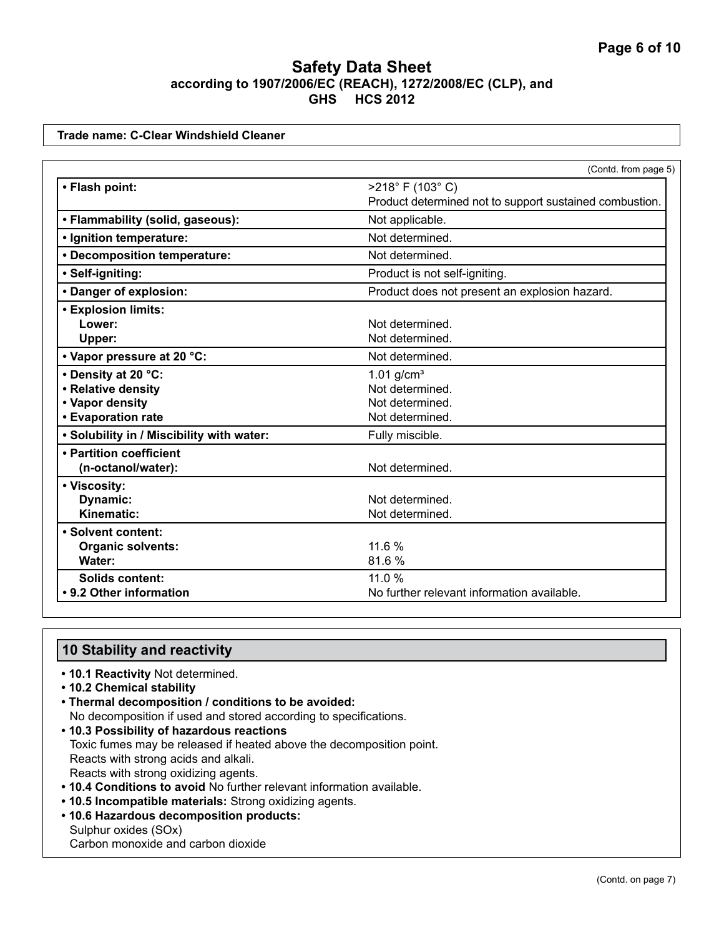**Trade name: C-Clear Windshield Cleaner**

|                                           | (Contd. from page 5)                                    |
|-------------------------------------------|---------------------------------------------------------|
| • Flash point:                            | $>218^{\circ}$ F (103°C)                                |
|                                           | Product determined not to support sustained combustion. |
| • Flammability (solid, gaseous):          | Not applicable.                                         |
| · Ignition temperature:                   | Not determined.                                         |
| • Decomposition temperature:              | Not determined.                                         |
| • Self-igniting:                          | Product is not self-igniting.                           |
| • Danger of explosion:                    | Product does not present an explosion hazard.           |
| <b>• Explosion limits:</b>                |                                                         |
| Lower:                                    | Not determined.                                         |
| Upper:                                    | Not determined.                                         |
| • Vapor pressure at 20 °C:                | Not determined.                                         |
| • Density at 20 °C:                       | $1.01$ g/cm <sup>3</sup>                                |
| • Relative density                        | Not determined.                                         |
| • Vapor density                           | Not determined.                                         |
| • Evaporation rate                        | Not determined.                                         |
| . Solubility in / Miscibility with water: | Fully miscible.                                         |
| • Partition coefficient                   |                                                         |
| (n-octanol/water):                        | Not determined.                                         |
| • Viscosity:                              |                                                         |
| Dynamic:                                  | Not determined.                                         |
| Kinematic:                                | Not determined.                                         |
| • Solvent content:                        |                                                         |
| <b>Organic solvents:</b>                  | 11.6 %                                                  |
| Water:                                    | 81.6%                                                   |
| <b>Solids content:</b>                    | 11.0 %                                                  |
| • 9.2 Other information                   | No further relevant information available.              |

## **10 Stability and reactivity**

- **10.1 Reactivity** Not determined.
- **10.2 Chemical stability**
- **Thermal decomposition / conditions to be avoided:**
- No decomposition if used and stored according to specifications. **• 10.3 Possibility of hazardous reactions**
- Toxic fumes may be released if heated above the decomposition point. Reacts with strong acids and alkali. Reacts with strong oxidizing agents.
- **10.4 Conditions to avoid** No further relevant information available.
- **10.5 Incompatible materials:** Strong oxidizing agents.
- **10.6 Hazardous decomposition products:**
- Sulphur oxides (SOx) Carbon monoxide and carbon dioxide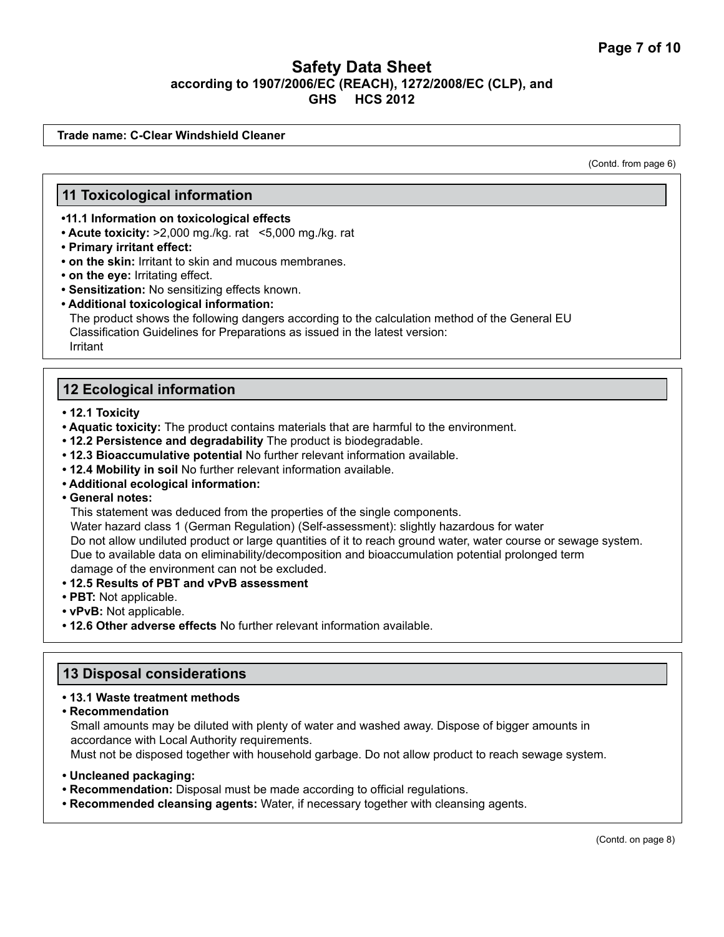**Trade name: C-Clear Windshield Cleaner**

(Contd. from page 6)

#### **11 Toxicological information**

**•11.1 Information on toxicological effects**

- **Acute toxicity:** >2,000 mg./kg. rat<5,000 mg./kg. rat
- **Primary irritant effect:**
- **on the skin:** Irritant to skin and mucous membranes.
- **on the eye:** Irritating effect.
- **Sensitization:** No sensitizing effects known.
- **Additional toxicological information:**

The product shows the following dangers according to the calculation method of the General EU Classification Guidelines for Preparations as issued in the latest version: Irritant

### **12 Ecological information**

- **12.1 Toxicity**
- **Aquatic toxicity:** The product contains materials that are harmful to the environment.
- **12.2 Persistence and degradability** The product is biodegradable.
- **12.3 Bioaccumulative potential** No further relevant information available.
- **12.4 Mobility in soil** No further relevant information available.
- **Additional ecological information:**
- **General notes:**

This statement was deduced from the properties of the single components.

Water hazard class 1 (German Regulation) (Self-assessment): slightly hazardous for water Do not allow undiluted product or large quantities of it to reach ground water, water course or sewage system. Due to available data on eliminability/decomposition and bioaccumulation potential prolonged term damage of the environment can not be excluded.

- **12.5 Results of PBT and vPvB assessment**
- **PBT:** Not applicable.
- **vPvB:** Not applicable.
- **12.6 Other adverse effects** No further relevant information available.

#### **13 Disposal considerations**

#### **• 13.1 Waste treatment methods**

**• Recommendation**

Small amounts may be diluted with plenty of water and washed away. Dispose of bigger amounts in accordance with Local Authority requirements.

Must not be disposed together with household garbage. Do not allow product to reach sewage system.

- **Uncleaned packaging:**
- **Recommendation:** Disposal must be made according to official regulations.
- **Recommended cleansing agents:** Water, if necessary together with cleansing agents.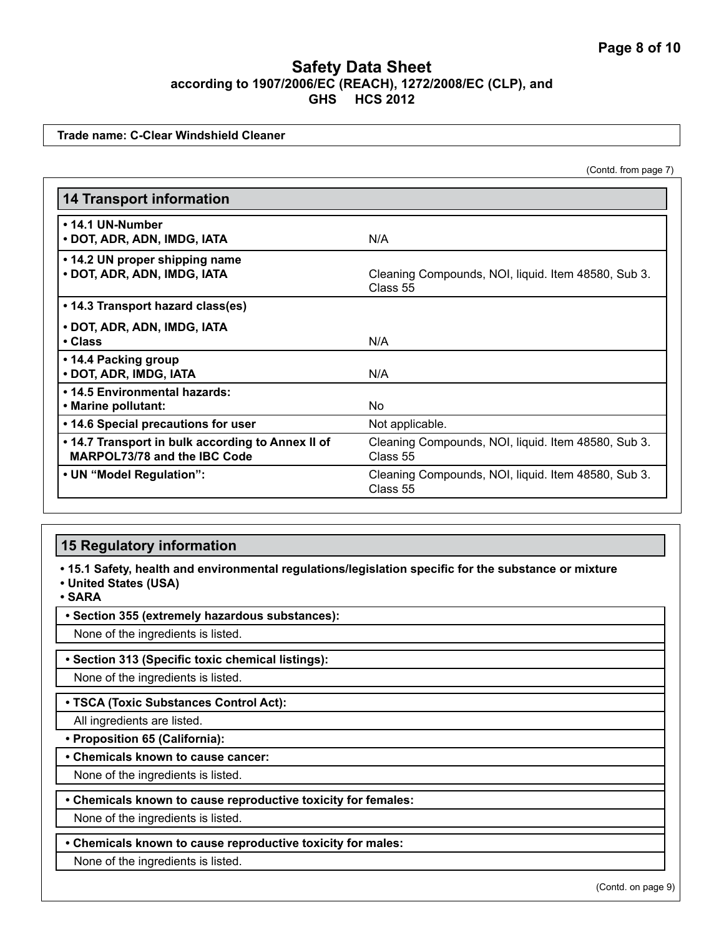**Trade name: C-Clear Windshield Cleaner**

(Contd. from page 7)

| <b>14 Transport information</b>                                                   |                                                                 |
|-----------------------------------------------------------------------------------|-----------------------------------------------------------------|
| • 14.1 UN-Number<br>• DOT, ADR, ADN, IMDG, IATA                                   | N/A                                                             |
| • 14.2 UN proper shipping name<br>• DOT, ADR, ADN, IMDG, IATA                     | Cleaning Compounds, NOI, liquid. Item 48580, Sub 3.<br>Class 55 |
| • 14.3 Transport hazard class(es)                                                 |                                                                 |
| • DOT, ADR, ADN, IMDG, IATA<br>• Class                                            | N/A                                                             |
| • 14.4 Packing group<br>• DOT, ADR, IMDG, IATA                                    | N/A                                                             |
| • 14.5 Environmental hazards:<br>• Marine pollutant:                              | No.                                                             |
| • 14.6 Special precautions for user                                               | Not applicable.                                                 |
| • 14.7 Transport in bulk according to Annex II of<br>MARPOL73/78 and the IBC Code | Cleaning Compounds, NOI, liquid. Item 48580, Sub 3.<br>Class 55 |
| • UN "Model Regulation":                                                          | Cleaning Compounds, NOI, liquid. Item 48580, Sub 3.<br>Class 55 |

## **15 Regulatory information**

**• 15.1 Safety, health and environmental regulations/legislation specific for the substance or mixture**

**• United States (USA)**

**• SARA**

**• Section 355 (extremely hazardous substances):**

None of the ingredients is listed.

**• Section 313 (Specific toxic chemical listings):**

None of the ingredients is listed.

#### **• TSCA (Toxic Substances Control Act):**

All ingredients are listed.

**• Proposition 65 (California):**

**• Chemicals known to cause cancer:**

None of the ingredients is listed.

#### **• Chemicals known to cause reproductive toxicity for females:**

None of the ingredients is listed.

**• Chemicals known to cause reproductive toxicity for males:**

None of the ingredients is listed.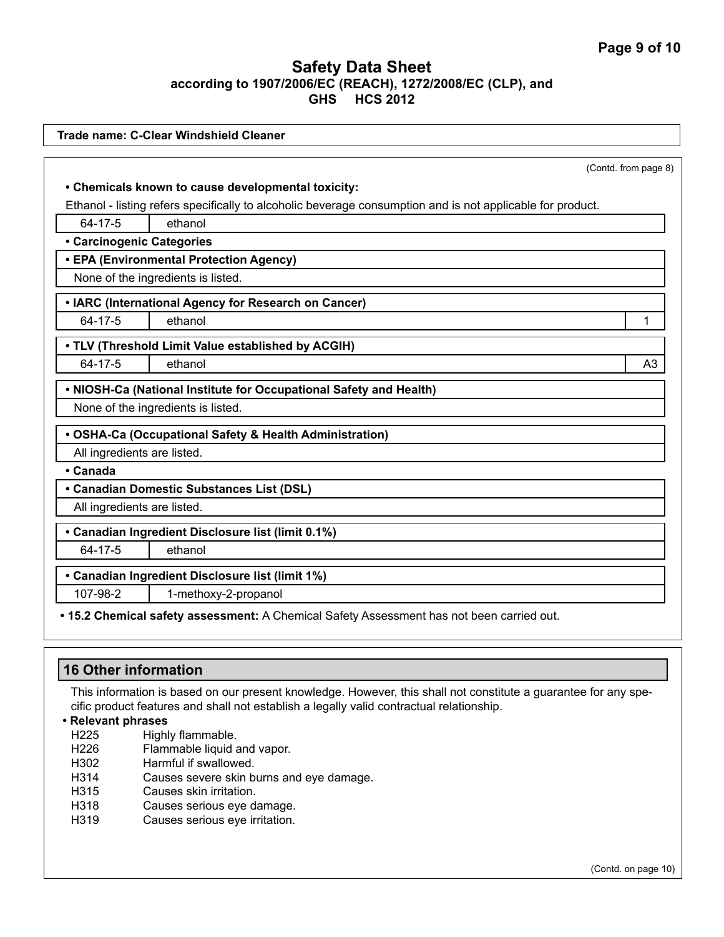|                             | Trade name: C-Clear Windshield Cleaner                                                                     |                      |
|-----------------------------|------------------------------------------------------------------------------------------------------------|----------------------|
|                             |                                                                                                            |                      |
|                             |                                                                                                            | (Contd. from page 8) |
|                             | • Chemicals known to cause developmental toxicity:                                                         |                      |
|                             | Ethanol - listing refers specifically to alcoholic beverage consumption and is not applicable for product. |                      |
| 64-17-5                     | ethanol                                                                                                    |                      |
| • Carcinogenic Categories   |                                                                                                            |                      |
|                             | • EPA (Environmental Protection Agency)                                                                    |                      |
|                             | None of the ingredients is listed.                                                                         |                      |
|                             | • IARC (International Agency for Research on Cancer)                                                       |                      |
| 64-17-5                     | ethanol                                                                                                    | 1                    |
|                             | • TLV (Threshold Limit Value established by ACGIH)                                                         |                      |
| 64-17-5                     | ethanol                                                                                                    | A <sub>3</sub>       |
|                             | . NIOSH-Ca (National Institute for Occupational Safety and Health)                                         |                      |
|                             | None of the ingredients is listed.                                                                         |                      |
|                             | • OSHA-Ca (Occupational Safety & Health Administration)                                                    |                      |
| All ingredients are listed. |                                                                                                            |                      |
| • Canada                    |                                                                                                            |                      |
|                             | • Canadian Domestic Substances List (DSL)                                                                  |                      |
| All ingredients are listed. |                                                                                                            |                      |
|                             | • Canadian Ingredient Disclosure list (limit 0.1%)                                                         |                      |
| 64-17-5                     | ethanol                                                                                                    |                      |
|                             | • Canadian Ingredient Disclosure list (limit 1%)                                                           |                      |
| 107-98-2                    | 1-methoxy-2-propanol                                                                                       |                      |
|                             |                                                                                                            |                      |

**• 15.2 Chemical safety assessment:** A Chemical Safety Assessment has not been carried out.

| 16 Other information                                                                                            |
|-----------------------------------------------------------------------------------------------------------------|
| This information is based on our present knowledge. However, this shall not constitute a guarantee for any spe- |

cific product features and shall not establish a legally valid contractual relationship.

**• Relevant phrases**

- H225 Highly flammable.<br>H226 Flammable liquid a
- H226 Flammable liquid and vapor.<br>H302 Harmful if swallowed.
- Harmful if swallowed.
- H314 Causes severe skin burns and eye damage.<br>H315 Causes skin irritation.
- Causes skin irritation.
- H318 Causes serious eye damage.<br>H319 Causes serious eye irritation.
- Causes serious eye irritation.